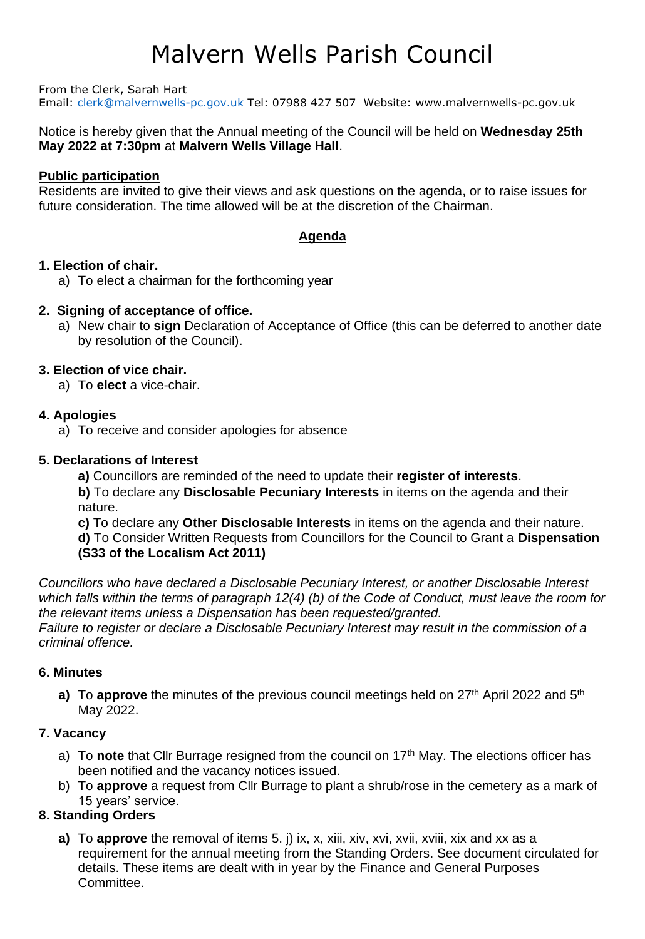#### From the Clerk, Sarah Hart

Email: [clerk@malvernwells-pc.gov.uk](mailto:clerk@malvernwells-pc.gov.uk) Tel: 07988 427 507 Website: www.malvernwells-pc.gov.uk

### Notice is hereby given that the Annual meeting of the Council will be held on **Wednesday 25th May 2022 at 7:30pm** at **Malvern Wells Village Hall**.

#### **Public participation**

Residents are invited to give their views and ask questions on the agenda, or to raise issues for future consideration. The time allowed will be at the discretion of the Chairman.

### **Agenda**

### **1. Election of chair.**

a) To elect a chairman for the forthcoming year

### **2. Signing of acceptance of office.**

a) New chair to **sign** Declaration of Acceptance of Office (this can be deferred to another date by resolution of the Council).

### **3. Election of vice chair.**

a) To **elect** a vice-chair.

### **4. Apologies**

a) To receive and consider apologies for absence

### **5. Declarations of Interest**

- **a)** Councillors are reminded of the need to update their **register of interests**.
- **b)** To declare any **Disclosable Pecuniary Interests** in items on the agenda and their nature.
- **c)** To declare any **Other Disclosable Interests** in items on the agenda and their nature.
- **d)** To Consider Written Requests from Councillors for the Council to Grant a **Dispensation (S33 of the Localism Act 2011)**

*Councillors who have declared a Disclosable Pecuniary Interest, or another Disclosable Interest which falls within the terms of paragraph 12(4) (b) of the Code of Conduct, must leave the room for the relevant items unless a Dispensation has been requested/granted. Failure to register or declare a Disclosable Pecuniary Interest may result in the commission of a criminal offence.* 

### **6. Minutes**

a) To approve the minutes of the previous council meetings held on 27<sup>th</sup> April 2022 and 5<sup>th</sup> May 2022.

### **7. Vacancy**

- a) To note that Cllr Burrage resigned from the council on 17<sup>th</sup> May. The elections officer has been notified and the vacancy notices issued.
- b) To **approve** a request from Cllr Burrage to plant a shrub/rose in the cemetery as a mark of 15 years' service.

### **8. Standing Orders**

**a)** To **approve** the removal of items 5. j) ix, x, xiii, xiv, xvi, xvii, xviii, xix and xx as a requirement for the annual meeting from the Standing Orders. See document circulated for details. These items are dealt with in year by the Finance and General Purposes Committee.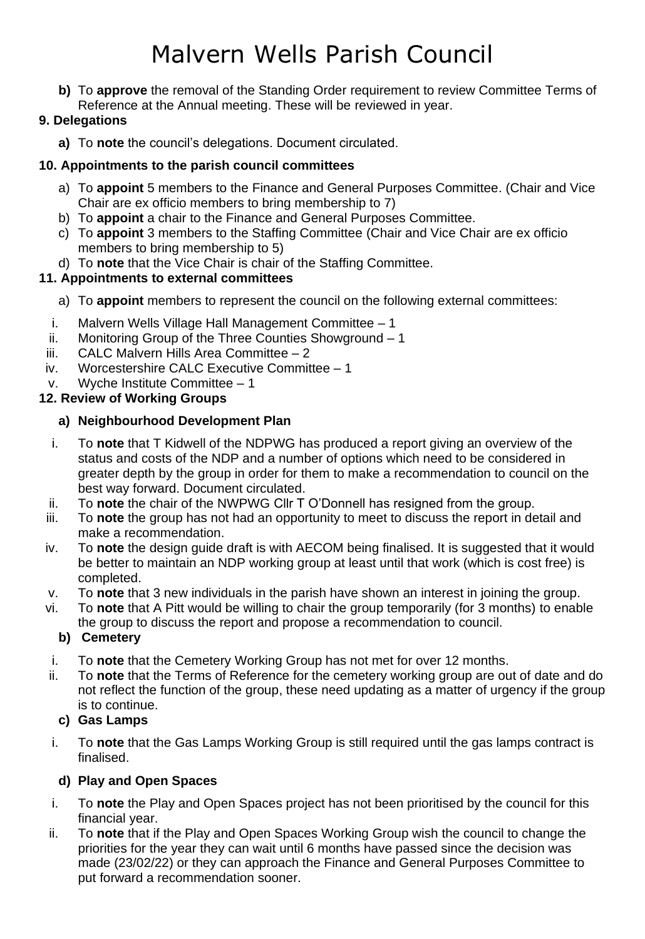**b)** To **approve** the removal of the Standing Order requirement to review Committee Terms of Reference at the Annual meeting. These will be reviewed in year.

## **9. Delegations**

**a)** To **note** the council's delegations. Document circulated.

## **10. Appointments to the parish council committees**

- a) To **appoint** 5 members to the Finance and General Purposes Committee. (Chair and Vice Chair are ex officio members to bring membership to 7)
- b) To **appoint** a chair to the Finance and General Purposes Committee.
- c) To **appoint** 3 members to the Staffing Committee (Chair and Vice Chair are ex officio members to bring membership to 5)
- d) To **note** that the Vice Chair is chair of the Staffing Committee.

## **11. Appointments to external committees**

- a) To **appoint** members to represent the council on the following external committees:
- i. Malvern Wells Village Hall Management Committee 1
- ii. Monitoring Group of the Three Counties Showground 1
- iii. CALC Malvern Hills Area Committee 2
- iv. Worcestershire CALC Executive Committee 1
- v. Wyche Institute Committee 1

## **12. Review of Working Groups**

## **a) Neighbourhood Development Plan**

- i. To **note** that T Kidwell of the NDPWG has produced a report giving an overview of the status and costs of the NDP and a number of options which need to be considered in greater depth by the group in order for them to make a recommendation to council on the best way forward. Document circulated.
- ii. To **note** the chair of the NWPWG Cllr T O'Donnell has resigned from the group.
- iii. To **note** the group has not had an opportunity to meet to discuss the report in detail and make a recommendation.
- iv. To **note** the design guide draft is with AECOM being finalised. It is suggested that it would be better to maintain an NDP working group at least until that work (which is cost free) is completed.
- v. To **note** that 3 new individuals in the parish have shown an interest in joining the group.
- vi. To **note** that A Pitt would be willing to chair the group temporarily (for 3 months) to enable the group to discuss the report and propose a recommendation to council.

## **b) Cemetery**

- i. To **note** that the Cemetery Working Group has not met for over 12 months.
- ii. To **note** that the Terms of Reference for the cemetery working group are out of date and do not reflect the function of the group, these need updating as a matter of urgency if the group is to continue.

## **c) Gas Lamps**

i. To **note** that the Gas Lamps Working Group is still required until the gas lamps contract is finalised.

## **d) Play and Open Spaces**

- i. To **note** the Play and Open Spaces project has not been prioritised by the council for this financial year.
- ii. To **note** that if the Play and Open Spaces Working Group wish the council to change the priorities for the year they can wait until 6 months have passed since the decision was made (23/02/22) or they can approach the Finance and General Purposes Committee to put forward a recommendation sooner.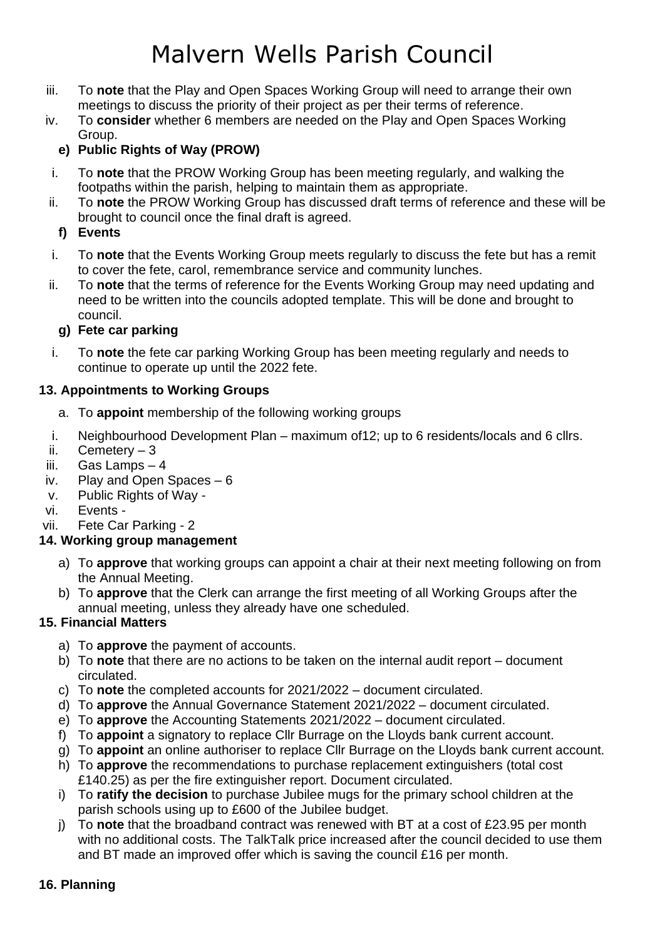- iii. To **note** that the Play and Open Spaces Working Group will need to arrange their own meetings to discuss the priority of their project as per their terms of reference.
- iv. To **consider** whether 6 members are needed on the Play and Open Spaces Working Group.

## **e) Public Rights of Way (PROW)**

- i. To **note** that the PROW Working Group has been meeting regularly, and walking the footpaths within the parish, helping to maintain them as appropriate.
- ii. To **note** the PROW Working Group has discussed draft terms of reference and these will be brought to council once the final draft is agreed.

## **f) Events**

- i. To **note** that the Events Working Group meets regularly to discuss the fete but has a remit to cover the fete, carol, remembrance service and community lunches.
- ii. To **note** that the terms of reference for the Events Working Group may need updating and need to be written into the councils adopted template. This will be done and brought to council.

## **g) Fete car parking**

i. To **note** the fete car parking Working Group has been meeting regularly and needs to continue to operate up until the 2022 fete.

## **13. Appointments to Working Groups**

- a. To **appoint** membership of the following working groups
- i. Neighbourhood Development Plan maximum of12; up to 6 residents/locals and 6 cllrs.
- ii. Cemetery  $-3$
- iii. Gas Lamps 4
- iv. Play and Open Spaces 6
- v. Public Rights of Way -
- vi. Events -
- vii. Fete Car Parking 2

## **14. Working group management**

- a) To **approve** that working groups can appoint a chair at their next meeting following on from the Annual Meeting.
- b) To **approve** that the Clerk can arrange the first meeting of all Working Groups after the annual meeting, unless they already have one scheduled.

## **15. Financial Matters**

- a) To **approve** the payment of accounts.
- b) To **note** that there are no actions to be taken on the internal audit report document circulated.
- c) To **note** the completed accounts for 2021/2022 document circulated.
- d) To **approve** the Annual Governance Statement 2021/2022 document circulated.
- e) To **approve** the Accounting Statements 2021/2022 document circulated.
- f) To **appoint** a signatory to replace Cllr Burrage on the Lloyds bank current account.
- g) To **appoint** an online authoriser to replace Cllr Burrage on the Lloyds bank current account.
- h) To **approve** the recommendations to purchase replacement extinguishers (total cost £140.25) as per the fire extinguisher report. Document circulated.
- i) To **ratify the decision** to purchase Jubilee mugs for the primary school children at the parish schools using up to £600 of the Jubilee budget.
- j) To **note** that the broadband contract was renewed with BT at a cost of £23.95 per month with no additional costs. The TalkTalk price increased after the council decided to use them and BT made an improved offer which is saving the council £16 per month.

## **16. Planning**